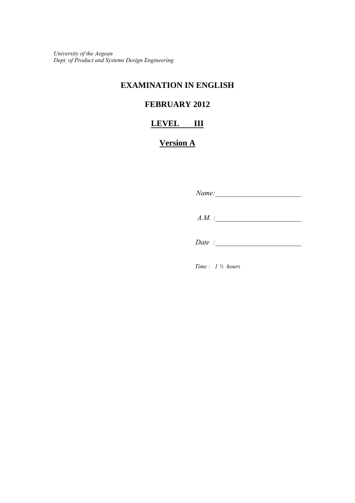*University of the Aegean Dept. of Product and Systems Design Engineering*

## **EXAMINATION IN ENGLISH**

# **FEBRUARY 2012**

### **LEVEL III**

# **Version A**

 *Name:\_\_\_\_\_\_\_\_\_\_\_\_\_\_\_\_\_\_\_\_\_\_\_\_ A.M.* : *Date* :

*Time : 1 ½ hours*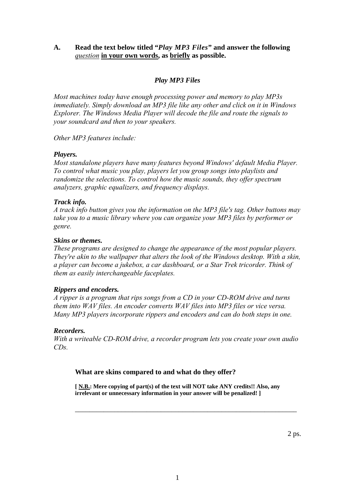#### **A. Read the text below titled "***Play MP3 Files***" and answer the following**  *question* **in your own words, as briefly as possible.**

#### *Play MP3 Files*

*Most machines today have enough processing power and memory to play MP3s immediately. Simply download an MP3 file like any other and click on it in Windows Explorer. The Windows Media Player will decode the file and route the signals to your soundcard and then to your speakers.* 

*Other MP3 features include:* 

#### *Players.*

*Most standalone players have many features beyond Windows' default Media Player. To control what music you play, players let you group songs into playlists and randomize the selections. To control how the music sounds, they offer spectrum analyzers, graphic equalizers, and frequency displays.* 

#### *Track info.*

*A track info button gives you the information on the MP3 file's tag. Other buttons may take you to a music library where you can organize your MP3 files by performer or genre.* 

#### *Skins or themes.*

*These programs are designed to change the appearance of the most popular players. They're akin to the wallpaper that alters the look of the Windows desktop. With a skin, a player can become a jukebox, a car dashboard, or a Star Trek tricorder. Think of them as easily interchangeable faceplates.* 

#### *Rippers and encoders.*

*A ripper is a program that rips songs from a CD in your CD-ROM drive and turns them into WAV files. An encoder converts WAV files into MP3 files or vice versa. Many MP3 players incorporate rippers and encoders and can do both steps in one.* 

#### *Recorders.*

*With a writeable CD-ROM drive, a recorder program lets you create your own audio CDs.* 

#### **What are skins compared to and what do they offer?**

 **[ N.B.: Mere copying of part(s) of the text will NOT take ANY credits!! Also, any irrelevant or unnecessary information in your answer will be penalized! ]**

\_\_\_\_\_\_\_\_\_\_\_\_\_\_\_\_\_\_\_\_\_\_\_\_\_\_\_\_\_\_\_\_\_\_\_\_\_\_\_\_\_\_\_\_\_\_\_\_\_\_\_\_\_\_\_\_\_\_\_\_\_\_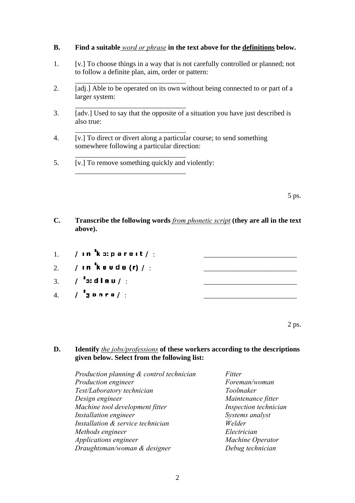#### **B. Find a suitable** *word or phrase* **in the text above for the definitions below.**

- 1. [v.] To choose things in a way that is not carefully controlled or planned; not to follow a definite plan, aim, order or pattern:
- 2. [adj.] Able to be operated on its own without being connected to or part of a larger system:
- 3. [adv.] Used to say that the opposite of a situation you have just described is also true:
- 4. [v.] To direct or divert along a particular course; to send something somewhere following a particular direction:
- 5. [v.] To remove something quickly and violently:

 $\frac{1}{\sqrt{2}}$  ,  $\frac{1}{\sqrt{2}}$  ,  $\frac{1}{\sqrt{2}}$  ,  $\frac{1}{\sqrt{2}}$  ,  $\frac{1}{\sqrt{2}}$  ,  $\frac{1}{\sqrt{2}}$  ,  $\frac{1}{\sqrt{2}}$  ,  $\frac{1}{\sqrt{2}}$  ,  $\frac{1}{\sqrt{2}}$  ,  $\frac{1}{\sqrt{2}}$  ,  $\frac{1}{\sqrt{2}}$  ,  $\frac{1}{\sqrt{2}}$  ,  $\frac{1}{\sqrt{2}}$  ,  $\frac{1}{\sqrt{2}}$  ,  $\frac{1}{\sqrt{2}}$ 

 $\overline{\phantom{a}}$  ,  $\overline{\phantom{a}}$  ,  $\overline{\phantom{a}}$  ,  $\overline{\phantom{a}}$  ,  $\overline{\phantom{a}}$  ,  $\overline{\phantom{a}}$  ,  $\overline{\phantom{a}}$  ,  $\overline{\phantom{a}}$  ,  $\overline{\phantom{a}}$  ,  $\overline{\phantom{a}}$  ,  $\overline{\phantom{a}}$  ,  $\overline{\phantom{a}}$  ,  $\overline{\phantom{a}}$  ,  $\overline{\phantom{a}}$  ,  $\overline{\phantom{a}}$  ,  $\overline{\phantom{a}}$ 

 $\frac{1}{\sqrt{2}}$  ,  $\frac{1}{\sqrt{2}}$  ,  $\frac{1}{\sqrt{2}}$  ,  $\frac{1}{\sqrt{2}}$  ,  $\frac{1}{\sqrt{2}}$  ,  $\frac{1}{\sqrt{2}}$  ,  $\frac{1}{\sqrt{2}}$  ,  $\frac{1}{\sqrt{2}}$  ,  $\frac{1}{\sqrt{2}}$  ,  $\frac{1}{\sqrt{2}}$  ,  $\frac{1}{\sqrt{2}}$  ,  $\frac{1}{\sqrt{2}}$  ,  $\frac{1}{\sqrt{2}}$  ,  $\frac{1}{\sqrt{2}}$  ,  $\frac{1}{\sqrt{2}}$ 

 $\overline{\phantom{a}}$  ,  $\overline{\phantom{a}}$  ,  $\overline{\phantom{a}}$  ,  $\overline{\phantom{a}}$  ,  $\overline{\phantom{a}}$  ,  $\overline{\phantom{a}}$  ,  $\overline{\phantom{a}}$  ,  $\overline{\phantom{a}}$  ,  $\overline{\phantom{a}}$  ,  $\overline{\phantom{a}}$  ,  $\overline{\phantom{a}}$  ,  $\overline{\phantom{a}}$  ,  $\overline{\phantom{a}}$  ,  $\overline{\phantom{a}}$  ,  $\overline{\phantom{a}}$  ,  $\overline{\phantom{a}}$ 

 $\frac{1}{\sqrt{2}}$  ,  $\frac{1}{\sqrt{2}}$  ,  $\frac{1}{\sqrt{2}}$  ,  $\frac{1}{\sqrt{2}}$  ,  $\frac{1}{\sqrt{2}}$  ,  $\frac{1}{\sqrt{2}}$  ,  $\frac{1}{\sqrt{2}}$  ,  $\frac{1}{\sqrt{2}}$  ,  $\frac{1}{\sqrt{2}}$  ,  $\frac{1}{\sqrt{2}}$  ,  $\frac{1}{\sqrt{2}}$  ,  $\frac{1}{\sqrt{2}}$  ,  $\frac{1}{\sqrt{2}}$  ,  $\frac{1}{\sqrt{2}}$  ,  $\frac{1}{\sqrt{2}}$ 

 $5 \text{ ps.}$ 

- **C. Transcribe the following words** *from phonetic script* **(they are all in the text above).**
- $1.$  /  $\sqrt{1}$  **n**  $\frac{1}{2}$  **k**  $\sqrt{2}$  **p** are it  $\sqrt{2}$
- 2. /in kauda (r) / :
- $\mathcal{E}^3$  /  $\mathcal{E}^1$  o: diau/:
- 4.  $/$   $\frac{1}{3}$  p n r a  $/$  :

 $2 \text{ ps.}$ 

**D. Identify** *the jobs/professions* **of these workers according to the descriptions given below. Select from the following list:** 

| Production planning & control technician | Fitter                |
|------------------------------------------|-----------------------|
| Production engineer                      | Foreman/woman         |
| Test/Laboratory technician               | Toolmaker             |
| Design engineer                          | Maintenance fitter    |
| Machine tool development fitter          | Inspection technician |
| Installation engineer                    | Systems analyst       |
| Installation & service technician        | Welder                |
| Methods engineer                         | Electrician           |
| Applications engineer                    | Machine Operator      |
| Draughtsman/woman & designer             | Debug technician      |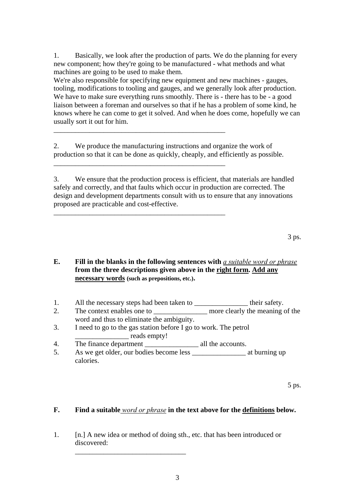1. Basically, we look after the production of parts. We do the planning for ev ery new component; how they're going to be manu factured - what methods and what machines are going to be used to make them.

. tooling, modifications to tooling and gauges, and we generally look after production knows where he can come to get it solved. And when he does come, hopefully we can We're also responsible for specifying new equipment and new machines - gauges, We have to make sure everything runs smoothly. There is - there has to be - a good liaison between a foreman and ourselves so that if he has a problem of some kind, he usually sort it out for him.

production so that it can be done as quickly, cheaply, and efficiently as possible. 2. We produce the manufacturing instructions and organize the work of

\_\_\_\_\_\_\_\_\_\_\_\_\_\_\_\_\_\_\_\_\_\_\_\_\_\_\_\_\_\_\_\_\_\_\_\_\_\_\_\_\_\_\_\_\_\_\_

\_

 $\overline{a}$ 

\_

\_\_\_\_\_\_\_\_\_\_\_\_\_\_\_\_\_\_\_\_\_\_\_\_\_\_\_\_\_\_\_\_\_\_\_\_\_\_\_\_\_\_\_\_\_\_\_

\_\_\_\_\_\_\_\_\_\_\_\_\_\_\_\_\_\_\_\_\_\_\_\_\_\_\_\_\_\_\_\_\_\_\_\_\_\_\_\_\_\_\_\_\_\_\_

3. We ensure that the production process is efficient, that materials are handled design and development departments consult with us to ensure that any innovations safely and correctly, and that faults which occur in production are corrected. The proposed are practicable and cost-effective.

3 ps.

#### **E.** Fill in the blanks in the following sentences with *a suitable word or phrase* **from the three descriptions given above in the right form. Add any necessary words (such as prepositions, etc.).**

- 1. All the necessary steps had been taken to \_\_\_\_\_\_\_\_\_\_\_\_\_\_\_\_\_ their safety.
- 2. The context enables one to \_\_\_\_\_\_\_\_\_\_\_\_\_\_\_\_ more clearly the meaning of the word and thus to eliminate the ambiguity.
- 3. I need to go to the gas station before I go to work. The petrol \_\_\_\_\_\_\_\_\_\_\_\_\_\_\_ reads empty!

4. The finance department \_\_\_\_\_\_\_\_\_\_\_\_\_\_\_\_\_\_\_\_ all the accounts.

5. As we get older, our bodies become less \_\_\_\_\_\_\_\_\_\_\_\_\_\_\_\_\_\_\_\_\_ at burning up calories.

 $5 \text{ ps.}$ 

#### **F.** Find a suitable *word or phrase* in the text above for the definitions below.

1. [n.] A new idea or method of doing sth., etc. that has been introduced or discovered:

 $\overline{\phantom{a}}$  ,  $\overline{\phantom{a}}$  ,  $\overline{\phantom{a}}$  ,  $\overline{\phantom{a}}$  ,  $\overline{\phantom{a}}$  ,  $\overline{\phantom{a}}$  ,  $\overline{\phantom{a}}$  ,  $\overline{\phantom{a}}$  ,  $\overline{\phantom{a}}$  ,  $\overline{\phantom{a}}$  ,  $\overline{\phantom{a}}$  ,  $\overline{\phantom{a}}$  ,  $\overline{\phantom{a}}$  ,  $\overline{\phantom{a}}$  ,  $\overline{\phantom{a}}$  ,  $\overline{\phantom{a}}$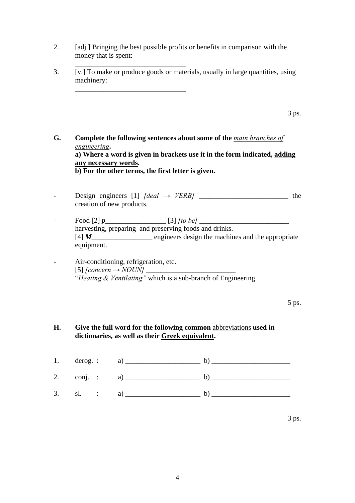2. [adj.] Bringing the best possible profits or benefits in comparison with the money that is spent:

 $\overline{\phantom{a}}$  ,  $\overline{\phantom{a}}$  ,  $\overline{\phantom{a}}$  ,  $\overline{\phantom{a}}$  ,  $\overline{\phantom{a}}$  ,  $\overline{\phantom{a}}$  ,  $\overline{\phantom{a}}$  ,  $\overline{\phantom{a}}$  ,  $\overline{\phantom{a}}$  ,  $\overline{\phantom{a}}$  ,  $\overline{\phantom{a}}$  ,  $\overline{\phantom{a}}$  ,  $\overline{\phantom{a}}$  ,  $\overline{\phantom{a}}$  ,  $\overline{\phantom{a}}$  ,  $\overline{\phantom{a}}$ 

 $\frac{1}{\sqrt{2}}$  ,  $\frac{1}{\sqrt{2}}$  ,  $\frac{1}{\sqrt{2}}$  ,  $\frac{1}{\sqrt{2}}$  ,  $\frac{1}{\sqrt{2}}$  ,  $\frac{1}{\sqrt{2}}$  ,  $\frac{1}{\sqrt{2}}$  ,  $\frac{1}{\sqrt{2}}$  ,  $\frac{1}{\sqrt{2}}$  ,  $\frac{1}{\sqrt{2}}$  ,  $\frac{1}{\sqrt{2}}$  ,  $\frac{1}{\sqrt{2}}$  ,  $\frac{1}{\sqrt{2}}$  ,  $\frac{1}{\sqrt{2}}$  ,  $\frac{1}{\sqrt{2}}$ 

3. [v.] To make or produce goods or materials, usually in large quantities, using machinery:

**G. Complete the following sentences about some of the** *main branches of engineering***. a) Where a word is given in brackets use it in the form indicated, adding any necessary words. b) For the other terms, the first letter is given.** 

- Design engineers [1] *[deal → VERB]* \_\_\_\_\_\_\_\_\_\_\_\_\_\_\_\_\_\_\_\_\_\_\_\_\_ the creation of new products.
- Food [2] *p* [3] *[to be]* harvesting, preparing and preserving foods and drinks. [4] *M*\_\_\_\_\_\_\_\_\_\_\_\_\_\_\_\_\_\_\_\_\_\_ engineers design the machines and the appropriate equipment.

- Air-conditioning, refrigeration, etc.  $[5]$  *[concern*  $\rightarrow$  *NOUN]* "*Heating & Ventilating"* which is a sub-branch of Engineering. 3 ps.

#### **H. Give the full word for the following common** abbreviations **used in dictionaries, as well as their Greek equivalent.**

| 1. |       |                     |  |
|----|-------|---------------------|--|
| 2. |       | $\text{conj.}$ : a) |  |
| 3. | sl. : | a)                  |  |

 $3 \text{ ps.}$